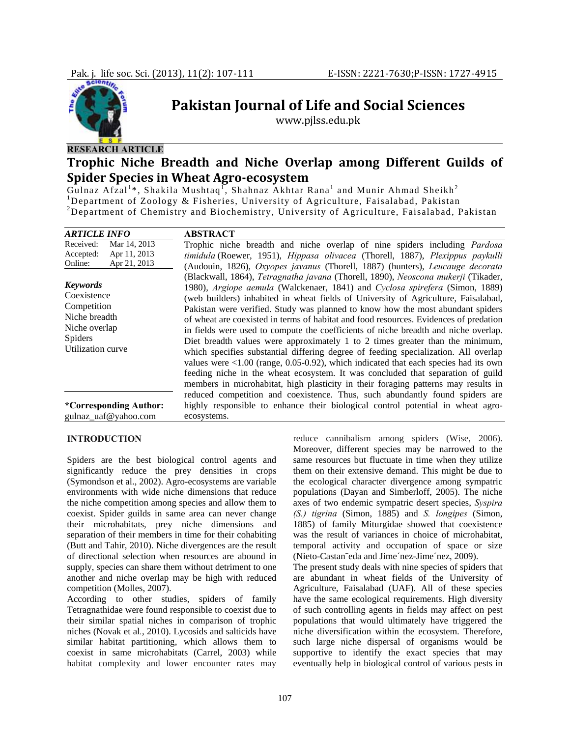

# **Pakistan Journal of Life and Social Sciences**

www.pjlss.edu.pk

## **RESEARCH ARTICLE**

## **Trophic Niche Breadth and Niche Overlap among Different Guilds of Spider Species in Wheat Agroecosystem**

Gulnaz Afzal<sup>1\*</sup>, Shakila Mushtaq<sup>1</sup>, Shahnaz Akhtar Rana<sup>1</sup> and Munir Ahmad Sheikh<sup>2</sup> <sup>1</sup>Department of Zoology & Fisheries, University of Agriculture, Faisalabad, Pakistan 2 Department of Chemistry and Biochemistry, University of Agriculture, Faisalabad, Pakistan

| <b>ARTICLE INFO</b>                                                                                             | <b>ABSTRACT</b>                                                                                                                                                                                                                                                                                                                                                                                                                                                                                                                                                                                                                                                                                                                                                                                                                                                                                                                                                          |
|-----------------------------------------------------------------------------------------------------------------|--------------------------------------------------------------------------------------------------------------------------------------------------------------------------------------------------------------------------------------------------------------------------------------------------------------------------------------------------------------------------------------------------------------------------------------------------------------------------------------------------------------------------------------------------------------------------------------------------------------------------------------------------------------------------------------------------------------------------------------------------------------------------------------------------------------------------------------------------------------------------------------------------------------------------------------------------------------------------|
| Received:<br>Mar 14, 2013<br>Apr 11, 2013<br>Accepted:<br>Apr 21, 2013<br>Online:                               | Trophic niche breadth and niche overlap of nine spiders including <i>Pardosa</i><br>timidula (Roewer, 1951), Hippasa olivacea (Thorell, 1887), Plexippus paykulli<br>(Audouin, 1826), Oxyopes javanus (Thorell, 1887) (hunters), Leucauge decorata                                                                                                                                                                                                                                                                                                                                                                                                                                                                                                                                                                                                                                                                                                                       |
| <b>Keywords</b><br>Coexistence<br>Competition<br>Niche breadth<br>Niche overlap<br>Spiders<br>Utilization curve | (Blackwall, 1864), Tetragnatha javana (Thorell, 1890), Neoscona mukerji (Tikader,<br>1980), Argiope aemula (Walckenaer, 1841) and Cyclosa spirefera (Simon, 1889)<br>(web builders) inhabited in wheat fields of University of Agriculture, Faisalabad,<br>Pakistan were verified. Study was planned to know how the most abundant spiders<br>of wheat are coexisted in terms of habitat and food resources. Evidences of predation<br>in fields were used to compute the coefficients of niche breadth and niche overlap.<br>Diet breadth values were approximately 1 to 2 times greater than the minimum,<br>which specifies substantial differing degree of feeding specialization. All overlap<br>values were $\leq 1.00$ (range, 0.05-0.92), which indicated that each species had its own<br>feeding niche in the wheat ecosystem. It was concluded that separation of guild<br>members in microhabitat, high plasticity in their foraging patterns may results in |
| *Corresponding Author:<br>gulnaz_uaf@yahoo.com                                                                  | reduced competition and coexistence. Thus, such abundantly found spiders are<br>highly responsible to enhance their biological control potential in wheat agro-<br>ecosystems.                                                                                                                                                                                                                                                                                                                                                                                                                                                                                                                                                                                                                                                                                                                                                                                           |

#### **INTRODUCTION**

Spiders are the best biological control agents and significantly reduce the prey densities in crops (Symondson et al., 2002). Agro-ecosystems are variable environments with wide niche dimensions that reduce the niche competition among species and allow them to coexist. Spider guilds in same area can never change their microhabitats, prey niche dimensions and separation of their members in time for their cohabiting (Butt and Tahir, 2010). Niche divergences are the result of directional selection when resources are abound in supply, species can share them without detriment to one another and niche overlap may be high with reduced competition (Molles, 2007).

According to other studies, spiders of family Tetragnathidae were found responsible to coexist due to their similar spatial niches in comparison of trophic niches (Novak et al*.*, 2010). Lycosids and salticids have similar habitat partitioning, which allows them to coexist in same microhabitats (Carrel, 2003) while habitat complexity and lower encounter rates may

reduce cannibalism among spiders (Wise, 2006). Moreover, different species may be narrowed to the same resources but fluctuate in time when they utilize them on their extensive demand. This might be due to the ecological character divergence among sympatric populations (Dayan and Simberloff, 2005). The niche axes of two endemic sympatric desert species, *Syspira (S.) tigrina* (Simon, 1885) and *S. longipes* (Simon, 1885) of family Miturgidae showed that coexistence was the result of variances in choice of microhabitat, temporal activity and occupation of space or size (Nieto-Castan˜eda and Jime´nez-Jime´nez, 2009).

The present study deals with nine species of spiders that are abundant in wheat fields of the University of Agriculture, Faisalabad (UAF). All of these species have the same ecological requirements. High diversity of such controlling agents in fields may affect on pest populations that would ultimately have triggered the niche diversification within the ecosystem. Therefore, such large niche dispersal of organisms would be supportive to identify the exact species that may eventually help in biological control of various pests in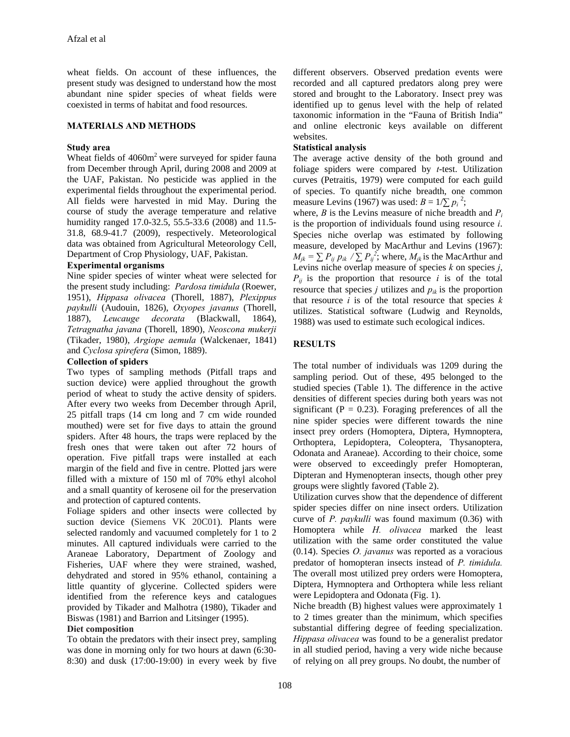wheat fields. On account of these influences, the present study was designed to understand how the most abundant nine spider species of wheat fields were coexisted in terms of habitat and food resources.

## **MATERIALS AND METHODS**

#### **Study area**

Wheat fields of  $4060m<sup>2</sup>$  were surveyed for spider fauna from December through April, during 2008 and 2009 at the UAF, Pakistan. No pesticide was applied in the experimental fields throughout the experimental period. All fields were harvested in mid May. During the course of study the average temperature and relative humidity ranged 17.0-32.5, 55.5-33.6 (2008) and 11.5- 31.8, 68.9-41.7 (2009), respectively. Meteorological data was obtained from Agricultural Meteorology Cell, Department of Crop Physiology, UAF, Pakistan.

### **Experimental organisms**

Nine spider species of winter wheat were selected for the present study including: *Pardosa timidula* (Roewer, 1951), *Hippasa olivacea* (Thorell, 1887), *Plexippus paykulli* (Audouin, 1826), *Oxyopes javanus* (Thorell, 1887), *Leucauge decorata* (Blackwall, 1864), *Tetragnatha javana* (Thorell, 1890), *Neoscona mukerji* (Tikader, 1980), *Argiope aemula* (Walckenaer, 1841) and *Cyclosa spirefera* (Simon, 1889).

### **Collection of spiders**

Two types of sampling methods (Pitfall traps and suction device) were applied throughout the growth period of wheat to study the active density of spiders. After every two weeks from December through April, 25 pitfall traps (14 cm long and 7 cm wide rounded mouthed) were set for five days to attain the ground spiders. After 48 hours, the traps were replaced by the fresh ones that were taken out after 72 hours of operation. Five pitfall traps were installed at each margin of the field and five in centre. Plotted jars were filled with a mixture of 150 ml of 70% ethyl alcohol and a small quantity of kerosene oil for the preservation and protection of captured contents.

Foliage spiders and other insects were collected by suction device (Siemens VK 20C01). Plants were selected randomly and vacuumed completely for 1 to 2 minutes. All captured individuals were carried to the Araneae Laboratory, Department of Zoology and Fisheries, UAF where they were strained, washed, dehydrated and stored in 95% ethanol, containing a little quantity of glycerine. Collected spiders were identified from the reference keys and catalogues provided by Tikader and Malhotra (1980), Tikader and Biswas (1981) and Barrion and Litsinger (1995).

## **Diet composition**

To obtain the predators with their insect prey, sampling was done in morning only for two hours at dawn (6:30- 8:30) and dusk (17:00-19:00) in every week by five different observers. Observed predation events were recorded and all captured predators along prey were stored and brought to the Laboratory. Insect prey was identified up to genus level with the help of related taxonomic information in the "Fauna of British India" and online electronic keys available on different websites.

## **Statistical analysis**

The average active density of the both ground and foliage spiders were compared by *t*-test. Utilization curves (Petraitis, 1979) were computed for each guild of species. To quantify niche breadth, one common measure Levins (1967) was used:  $B = 1/\sum p_i^2$ ;

where, *B* is the Levins measure of niche breadth and  $P_i$ is the proportion of individuals found using resource *i*. Species niche overlap was estimated by following measure, developed by MacArthur and Levins (1967):  $M_{jk} = \sum P_{ij} p_{ik} / \sum P_{ij}^2$ ; where,  $M_{jk}$  is the MacArthur and Levins niche overlap measure of species *k* on species *j*,  $P_{ij}$  is the proportion that resource *i* is of the total resource that species  $j$  utilizes and  $p_{ik}$  is the proportion that resource *i* is of the total resource that species *k* utilizes. Statistical software (Ludwig and Reynolds, 1988) was used to estimate such ecological indices.

## **RESULTS**

The total number of individuals was 1209 during the sampling period. Out of these, 495 belonged to the studied species (Table 1). The difference in the active densities of different species during both years was not significant ( $P = 0.23$ ). Foraging preferences of all the nine spider species were different towards the nine insect prey orders (Homoptera, Diptera, Hymnoptera, Orthoptera, Lepidoptera, Coleoptera, Thysanoptera, Odonata and Araneae). According to their choice, some were observed to exceedingly prefer Homopteran, Dipteran and Hymenopteran insects, though other prey groups were slightly favored (Table 2).

Utilization curves show that the dependence of different spider species differ on nine insect orders. Utilization curve of *P. paykulli* was found maximum (0.36) with Homoptera while *H. olivacea* marked the least utilization with the same order constituted the value (0.14). Species *O. javanus* was reported as a voracious predator of homopteran insects instead of *P. timidula.*  The overall most utilized prey orders were Homoptera, Diptera, Hymnoptera and Orthoptera while less reliant were Lepidoptera and Odonata (Fig. 1).

Niche breadth (B) highest values were approximately 1 to 2 times greater than the minimum, which specifies substantial differing degree of feeding specialization. *Hippasa olivacea* was found to be a generalist predator in all studied period, having a very wide niche because of relying on all prey groups. No doubt, the number of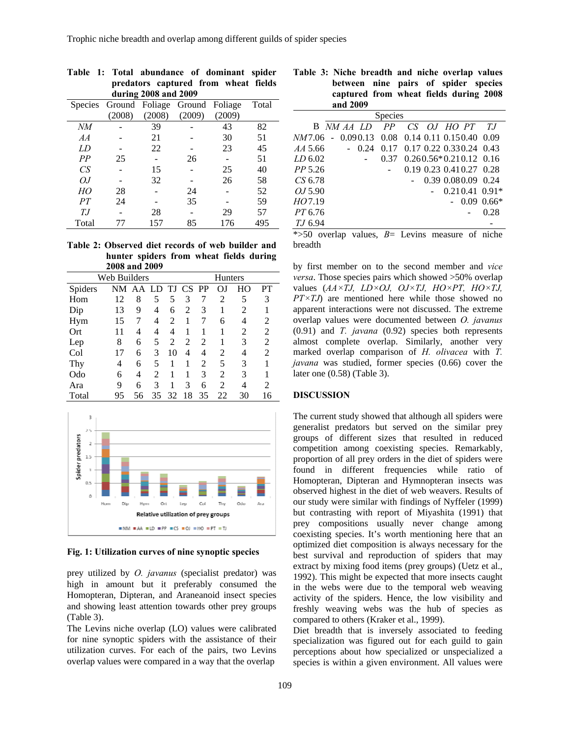| predators captured from wheat fields |                                       |        |        |        |       |  |  |  |  |
|--------------------------------------|---------------------------------------|--------|--------|--------|-------|--|--|--|--|
| during 2008 and 2009                 |                                       |        |        |        |       |  |  |  |  |
|                                      | Species Ground Foliage Ground Foliage |        |        |        | Total |  |  |  |  |
|                                      | (2008)                                | (2008) | (2009) | (2009) |       |  |  |  |  |
| NМ                                   |                                       | 39     |        | 43     | 82    |  |  |  |  |
| AA                                   |                                       | 21     |        | 30     | 51    |  |  |  |  |
| LD                                   |                                       | 22     |        | 23     | 45    |  |  |  |  |
| PP                                   | 25                                    |        | 26     |        | 51    |  |  |  |  |
| CS                                   |                                       | 15     |        | 25     | 40    |  |  |  |  |
| OJ                                   |                                       | 32     |        | 26     | 58    |  |  |  |  |
| HO                                   | 28                                    |        | 24     |        | 52    |  |  |  |  |
| PТ                                   | 24                                    |        | 35     |        | 59    |  |  |  |  |
| T.J                                  |                                       | 28     |        | 29     | 57    |  |  |  |  |
| Total                                |                                       | 157    | 85     | 176    | 495   |  |  |  |  |

**Table 1: Total abundance of dominant spider** 

**Table 2: Observed diet records of web builder and hunter spiders from wheat fields during 2008 and 2009** 

| $\rightarrow$ 000 and $\rightarrow$ 007 |    |          |    |                |           |    |    |    |    |
|-----------------------------------------|----|----------|----|----------------|-----------|----|----|----|----|
| Web Builders                            |    |          |    | <b>Hunters</b> |           |    |    |    |    |
| Spiders                                 |    | NM AA LD |    | TJ             | <b>CS</b> | PP | OJ | HО | PT |
| Hom                                     | 12 | 8        | 5  | 5              | 3         | 7  | 2  | 5  | 3  |
| Dip                                     | 13 | 9        | 4  | 6              | 2         | 3  |    | 2  |    |
| Hym                                     | 15 | 7        | 4  | 2              |           |    | 6  | 4  | 2  |
| Ort                                     | 11 | 4        | 4  | 4              |           |    |    | 2  | 2  |
| Lep                                     | 8  | 6        | 5  | 2              | 2         | 2  |    | 3  | 2  |
| Col                                     | 17 | 6        | 3  | 10             | 4         | 4  | 2  | 4  | 2  |
| Thy                                     | 4  | 6        | 5  |                |           | 2  | 5  | 3  |    |
| Odo                                     | 6  | 4        | 2  | 1              |           | 3  | 2  | 3  |    |
| Ara                                     | 9  | 6        | 3  |                | 3         | 6  | 2  | 4  | 2  |
| Total                                   | 95 | 56       | 35 | 32             | 18        | 35 | 22 | 30 | 16 |



**Fig. 1: Utilization curves of nine synoptic species** 

prey utilized by *O. javanus* (specialist predator) was high in amount but it preferably consumed the Homopteran, Dipteran, and Araneanoid insect species and showing least attention towards other prey groups (Table 3).

The Levins niche overlap (LO) values were calibrated for nine synoptic spiders with the assistance of their utilization curves. For each of the pairs, two Levins overlap values were compared in a way that the overlap

**Table 3: Niche breadth and niche overlap values between nine pairs of spider species captured from wheat fields during 2008 and 2009** 

| <b>Species</b>                                         |  |  |      |                              |  |  |  |  |                          |
|--------------------------------------------------------|--|--|------|------------------------------|--|--|--|--|--------------------------|
|                                                        |  |  |      | B NM AA LD PP CS OJ HO PT TJ |  |  |  |  |                          |
| <i>NM</i> 7.06 - 0.090.13 0.08 0.14 0.11 0.150.40 0.09 |  |  |      |                              |  |  |  |  |                          |
| <i>AA</i> 5.66                                         |  |  | 0.24 | 0.17 0.17 0.22 0.330.24 0.43 |  |  |  |  |                          |
| LD 6.02                                                |  |  |      | 0.37                         |  |  |  |  | $0.260.56*0.210.12$ 0.16 |
| <i>PP</i> 5.26                                         |  |  |      |                              |  |  |  |  | 0.19 0.23 0.41 0.27 0.28 |
| CS 6.78                                                |  |  |      |                              |  |  |  |  | 0.39 0.080.09 0.24       |
| 0.15.90                                                |  |  |      |                              |  |  |  |  | $0.210.41$ $0.91*$       |
| HO7.19                                                 |  |  |      |                              |  |  |  |  | $-0.09$ 0.66*            |
| <i>PT</i> 6.76                                         |  |  |      |                              |  |  |  |  | 0.28                     |
| <i>T.J</i> 6.94                                        |  |  |      |                              |  |  |  |  |                          |

\*>50 overlap values, *B*= Levins measure of niche breadth

by first member on to the second member and *vice versa*. Those species pairs which showed >50% overlap values (*AA×TJ, LD×OJ, OJ×TJ, HO×PT, HO×TJ, PT*×*TJ*) are mentioned here while those showed no apparent interactions were not discussed. The extreme overlap values were documented between *O. javanus* (0.91) and *T. javana* (0.92) species both represents almost complete overlap. Similarly, another very marked overlap comparison of *H. olivacea* with *T. javana* was studied, former species (0.66) cover the later one (0.58) (Table 3).

#### **DISCUSSION**

The current study showed that although all spiders were generalist predators but served on the similar prey groups of different sizes that resulted in reduced competition among coexisting species. Remarkably, proportion of all prey orders in the diet of spiders were found in different frequencies while ratio of Homopteran, Dipteran and Hymnopteran insects was observed highest in the diet of web weavers. Results of our study were similar with findings of Nyffeler (1999) but contrasting with report of Miyashita (1991) that prey compositions usually never change among coexisting species. It's worth mentioning here that an optimized diet composition is always necessary for the best survival and reproduction of spiders that may extract by mixing food items (prey groups) (Uetz et al., 1992). This might be expected that more insects caught in the webs were due to the temporal web weaving activity of the spiders. Hence, the low visibility and freshly weaving webs was the hub of species as compared to others (Kraker et al., 1999).

Diet breadth that is inversely associated to feeding specialization was figured out for each guild to gain perceptions about how specialized or unspecialized a species is within a given environment. All values were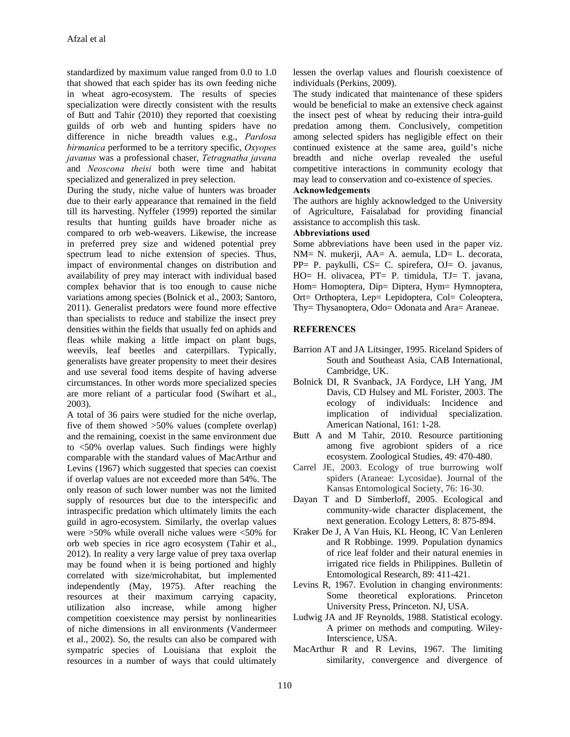standardized by maximum value ranged from 0.0 to 1.0 that showed that each spider has its own feeding niche in wheat agro-ecosystem. The results of species specialization were directly consistent with the results of Butt and Tahir (2010) they reported that coexisting guilds of orb web and hunting spiders have no difference in niche breadth values e.g., *Pardosa birmanica* performed to be a territory specific, *Oxyopes javanus* was a professional chaser, *Tetragnatha javana* and *Neoscona theisi* both were time and habitat specialized and generalized in prey selection.

During the study, niche value of hunters was broader due to their early appearance that remained in the field till its harvesting. Nyffeler (1999) reported the similar results that hunting guilds have broader niche as compared to orb web-weavers. Likewise, the increase in preferred prey size and widened potential prey spectrum lead to niche extension of species. Thus, impact of environmental changes on distribution and availability of prey may interact with individual based complex behavior that is too enough to cause niche variations among species (Bolnick et al., 2003; Santoro, 2011). Generalist predators were found more effective than specialists to reduce and stabilize the insect prey densities within the fields that usually fed on aphids and fleas while making a little impact on plant bugs, weevils, leaf beetles and caterpillars. Typically, generalists have greater propensity to meet their desires and use several food items despite of having adverse circumstances. In other words more specialized species are more reliant of a particular food (Swihart et al., 2003).

A total of 36 pairs were studied for the niche overlap, five of them showed >50% values (complete overlap) and the remaining, coexist in the same environment due to <50% overlap values. Such findings were highly comparable with the standard values of MacArthur and Levins (1967) which suggested that species can coexist if overlap values are not exceeded more than 54%. The only reason of such lower number was not the limited supply of resources but due to the interspecific and intraspecific predation which ultimately limits the each guild in agro-ecosystem. Similarly, the overlap values were >50% while overall niche values were <50% for orb web species in rice agro ecosystem (Tahir et al., 2012). In reality a very large value of prey taxa overlap may be found when it is being portioned and highly correlated with size/microhabitat, but implemented independently (May, 1975). After reaching the resources at their maximum carrying capacity, utilization also increase, while among higher competition coexistence may persist by nonlinearities of niche dimensions in all environments (Vandermeer et al., 2002). So, the results can also be compared with sympatric species of Louisiana that exploit the resources in a number of ways that could ultimately

lessen the overlap values and flourish coexistence of individuals (Perkins, 2009).

The study indicated that maintenance of these spiders would be beneficial to make an extensive check against the insect pest of wheat by reducing their intra-guild predation among them. Conclusively, competition among selected spiders has negligible effect on their continued existence at the same area, guild's niche breadth and niche overlap revealed the useful competitive interactions in community ecology that may lead to conservation and co-existence of species.

#### **Acknowledgements**

The authors are highly acknowledged to the University of Agriculture, Faisalabad for providing financial assistance to accomplish this task.

#### **Abbreviations used**

Some abbreviations have been used in the paper viz. NM= N. mukerji, AA= A. aemula, LD= L. decorata, PP= P. paykulli, CS= C. spirefera, OJ= O. javanus, HO= H. olivacea, PT= P. timidula, TJ= T. javana, Hom= Homoptera, Dip= Diptera, Hym= Hymnoptera, Ort= Orthoptera, Lep= Lepidoptera, Col= Coleoptera, Thy= Thysanoptera, Odo= Odonata and Ara= Araneae.

#### **REFERENCES**

- Barrion AT and JA Litsinger, 1995. Riceland Spiders of South and Southeast Asia, CAB International, Cambridge, UK.
- Bolnick DI, R Svanback, JA Fordyce, LH Yang, JM Davis, CD Hulsey and ML Forister, 2003. The ecology of individuals: Incidence and implication of individual specialization. American National, 161: 1-28.
- Butt A and M Tahir, 2010. Resource partitioning among five agrobiont spiders of a rice ecosystem. Zoological Studies, 49: 470-480.
- Carrel JE, 2003. Ecology of true burrowing wolf spiders (Araneae: Lycosidae). Journal of the Kansas Entomological Society, 76: 16-30.
- Dayan T and D Simberloff, 2005. Ecological and community-wide character displacement, the next generation. Ecology Letters, 8: 875-894.
- Kraker De J, A Van Huis, KL Heong, IC Van Lenleren and R Robbinge. 1999. Population dynamics of rice leaf folder and their natural enemies in irrigated rice fields in Philippines. Bulletin of Entomological Research, 89: 411-421.
- Levins R, 1967. Evolution in changing environments: Some theoretical explorations. Princeton University Press, Princeton. NJ, USA.
- Ludwig JA and JF Reynolds, 1988. Statistical ecology. A primer on methods and computing. Wiley-Interscience, USA.
- MacArthur R and R Levins, 1967. The limiting similarity, convergence and divergence of